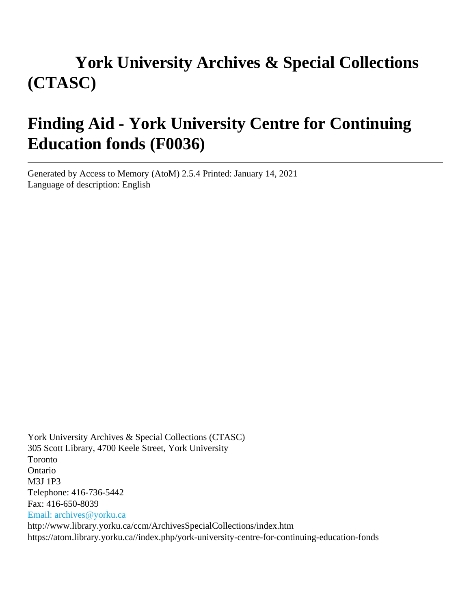# **York University Archives & Special Collections (CTASC)**

# **Finding Aid - York University Centre for Continuing Education fonds (F0036)**

Generated by Access to Memory (AtoM) 2.5.4 Printed: January 14, 2021 Language of description: English

York University Archives & Special Collections (CTASC) 305 Scott Library, 4700 Keele Street, York University Toronto Ontario M3J 1P3 Telephone: 416-736-5442 Fax: 416-650-8039 [Email: archives@yorku.ca](mailto:Email: archives@yorku.ca) http://www.library.yorku.ca/ccm/ArchivesSpecialCollections/index.htm https://atom.library.yorku.ca//index.php/york-university-centre-for-continuing-education-fonds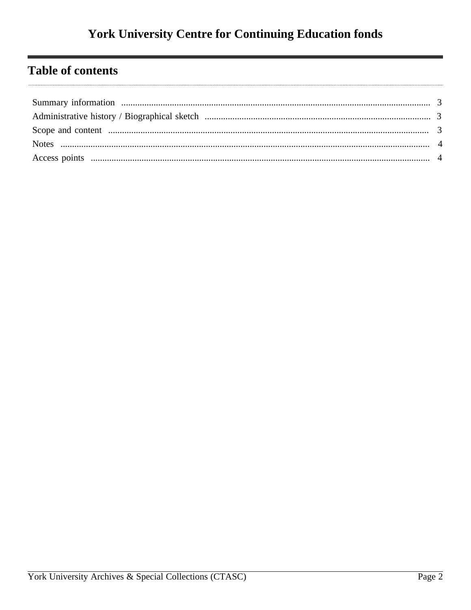## **Table of contents**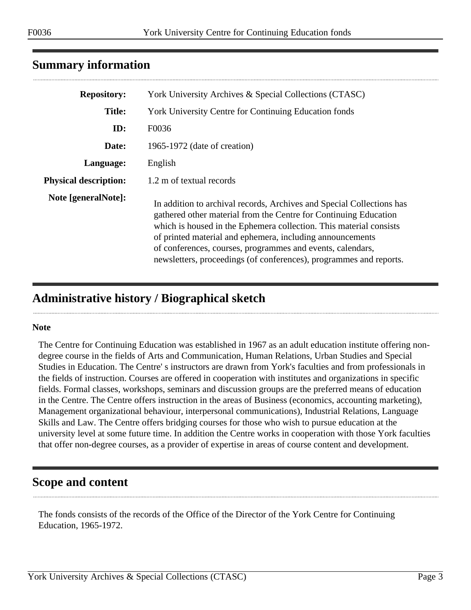| <b>Repository:</b>           | York University Archives & Special Collections (CTASC)                                                                                                                                                                                                                                                                                                                                                           |
|------------------------------|------------------------------------------------------------------------------------------------------------------------------------------------------------------------------------------------------------------------------------------------------------------------------------------------------------------------------------------------------------------------------------------------------------------|
| <b>Title:</b>                | <b>York University Centre for Continuing Education fonds</b>                                                                                                                                                                                                                                                                                                                                                     |
| ID:                          | F0036                                                                                                                                                                                                                                                                                                                                                                                                            |
| Date:                        | 1965-1972 (date of creation)                                                                                                                                                                                                                                                                                                                                                                                     |
| Language:                    | English                                                                                                                                                                                                                                                                                                                                                                                                          |
| <b>Physical description:</b> | 1.2 m of textual records                                                                                                                                                                                                                                                                                                                                                                                         |
| Note [generalNote]:          | In addition to archival records, Archives and Special Collections has<br>gathered other material from the Centre for Continuing Education<br>which is housed in the Ephemera collection. This material consists<br>of printed material and ephemera, including announcements<br>of conferences, courses, programmes and events, calendars,<br>newsletters, proceedings (of conferences), programmes and reports. |

### <span id="page-2-0"></span>**Summary information**

## <span id="page-2-1"></span>**Administrative history / Biographical sketch**

#### **Note**

The Centre for Continuing Education was established in 1967 as an adult education institute offering nondegree course in the fields of Arts and Communication, Human Relations, Urban Studies and Special Studies in Education. The Centre' s instructors are drawn from York's faculties and from professionals in the fields of instruction. Courses are offered in cooperation with institutes and organizations in specific fields. Formal classes, workshops, seminars and discussion groups are the preferred means of education in the Centre. The Centre offers instruction in the areas of Business (economics, accounting marketing), Management organizational behaviour, interpersonal communications), Industrial Relations, Language Skills and Law. The Centre offers bridging courses for those who wish to pursue education at the university level at some future time. In addition the Centre works in cooperation with those York faculties that offer non-degree courses, as a provider of expertise in areas of course content and development.

#### <span id="page-2-2"></span>**Scope and content**

The fonds consists of the records of the Office of the Director of the York Centre for Continuing Education, 1965-1972.